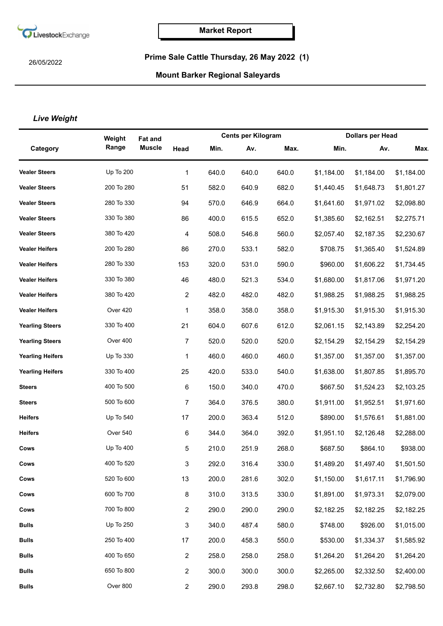

26/05/2022

## **Prime Sale Cattle Thursday, 26 May 2022 (1)**

## **Mount Barker Regional Saleyards**

## *Live Weight*

|                         | Weight           | <b>Fat and</b> |                | <b>Cents per Kilogram</b> |       |       | <b>Dollars per Head</b> |            |            |
|-------------------------|------------------|----------------|----------------|---------------------------|-------|-------|-------------------------|------------|------------|
| Category                | Range            | <b>Muscle</b>  | Head           | Min.                      | Av.   | Max.  | Min.                    | Av.        | <b>Max</b> |
| <b>Vealer Steers</b>    | <b>Up To 200</b> |                | 1              | 640.0                     | 640.0 | 640.0 | \$1,184.00              | \$1,184.00 | \$1,184.00 |
| <b>Vealer Steers</b>    | 200 To 280       |                | 51             | 582.0                     | 640.9 | 682.0 | \$1,440.45              | \$1,648.73 | \$1,801.27 |
| <b>Vealer Steers</b>    | 280 To 330       |                | 94             | 570.0                     | 646.9 | 664.0 | \$1,641.60              | \$1,971.02 | \$2,098.80 |
| <b>Vealer Steers</b>    | 330 To 380       |                | 86             | 400.0                     | 615.5 | 652.0 | \$1,385.60              | \$2,162.51 | \$2,275.71 |
| <b>Vealer Steers</b>    | 380 To 420       |                | 4              | 508.0                     | 546.8 | 560.0 | \$2,057.40              | \$2,187.35 | \$2,230.67 |
| <b>Vealer Heifers</b>   | 200 To 280       |                | 86             | 270.0                     | 533.1 | 582.0 | \$708.75                | \$1,365.40 | \$1,524.89 |
| <b>Vealer Heifers</b>   | 280 To 330       |                | 153            | 320.0                     | 531.0 | 590.0 | \$960.00                | \$1,606.22 | \$1,734.45 |
| <b>Vealer Heifers</b>   | 330 To 380       |                | 46             | 480.0                     | 521.3 | 534.0 | \$1,680.00              | \$1,817.06 | \$1,971.20 |
| <b>Vealer Heifers</b>   | 380 To 420       |                | $\overline{c}$ | 482.0                     | 482.0 | 482.0 | \$1,988.25              | \$1,988.25 | \$1,988.25 |
| <b>Vealer Heifers</b>   | Over 420         |                | 1              | 358.0                     | 358.0 | 358.0 | \$1,915.30              | \$1,915.30 | \$1,915.30 |
| <b>Yearling Steers</b>  | 330 To 400       |                | 21             | 604.0                     | 607.6 | 612.0 | \$2,061.15              | \$2,143.89 | \$2,254.20 |
| <b>Yearling Steers</b>  | Over 400         |                | $\overline{7}$ | 520.0                     | 520.0 | 520.0 | \$2,154.29              | \$2,154.29 | \$2,154.29 |
| <b>Yearling Heifers</b> | Up To 330        |                | 1              | 460.0                     | 460.0 | 460.0 | \$1,357.00              | \$1,357.00 | \$1,357.00 |
| <b>Yearling Heifers</b> | 330 To 400       |                | 25             | 420.0                     | 533.0 | 540.0 | \$1,638.00              | \$1,807.85 | \$1,895.70 |
| <b>Steers</b>           | 400 To 500       |                | 6              | 150.0                     | 340.0 | 470.0 | \$667.50                | \$1,524.23 | \$2,103.25 |
| <b>Steers</b>           | 500 To 600       |                | $\overline{7}$ | 364.0                     | 376.5 | 380.0 | \$1,911.00              | \$1,952.51 | \$1,971.60 |
| <b>Heifers</b>          | Up To 540        |                | 17             | 200.0                     | 363.4 | 512.0 | \$890.00                | \$1,576.61 | \$1,881.00 |
| <b>Heifers</b>          | Over 540         |                | 6              | 344.0                     | 364.0 | 392.0 | \$1,951.10              | \$2,126.48 | \$2,288.00 |
| Cows                    | Up To 400        |                | 5              | 210.0                     | 251.9 | 268.0 | \$687.50                | \$864.10   | \$938.00   |
| Cows                    | 400 To 520       |                | 3              | 292.0                     | 316.4 | 330.0 | \$1,489.20              | \$1,497.40 | \$1,501.50 |
| Cows                    | 520 To 600       |                | 13             | 200.0                     | 281.6 | 302.0 | \$1,150.00              | \$1,617.11 | \$1,796.90 |
| Cows                    | 600 To 700       |                | 8              | 310.0                     | 313.5 | 330.0 | \$1,891.00              | \$1,973.31 | \$2,079.00 |
| Cows                    | 700 To 800       |                | $\overline{c}$ | 290.0                     | 290.0 | 290.0 | \$2,182.25              | \$2,182.25 | \$2,182.25 |
| <b>Bulls</b>            | Up To 250        |                | 3              | 340.0                     | 487.4 | 580.0 | \$748.00                | \$926.00   | \$1,015.00 |
| <b>Bulls</b>            | 250 To 400       |                | 17             | 200.0                     | 458.3 | 550.0 | \$530.00                | \$1,334.37 | \$1,585.92 |
| <b>Bulls</b>            | 400 To 650       |                | $\overline{c}$ | 258.0                     | 258.0 | 258.0 | \$1,264.20              | \$1,264.20 | \$1,264.20 |
| <b>Bulls</b>            | 650 To 800       |                | $\overline{2}$ | 300.0                     | 300.0 | 300.0 | \$2,265.00              | \$2,332.50 | \$2,400.00 |
| <b>Bulls</b>            | Over 800         |                | $\overline{2}$ | 290.0                     | 293.8 | 298.0 | \$2,667.10              | \$2,732.80 | \$2,798.50 |